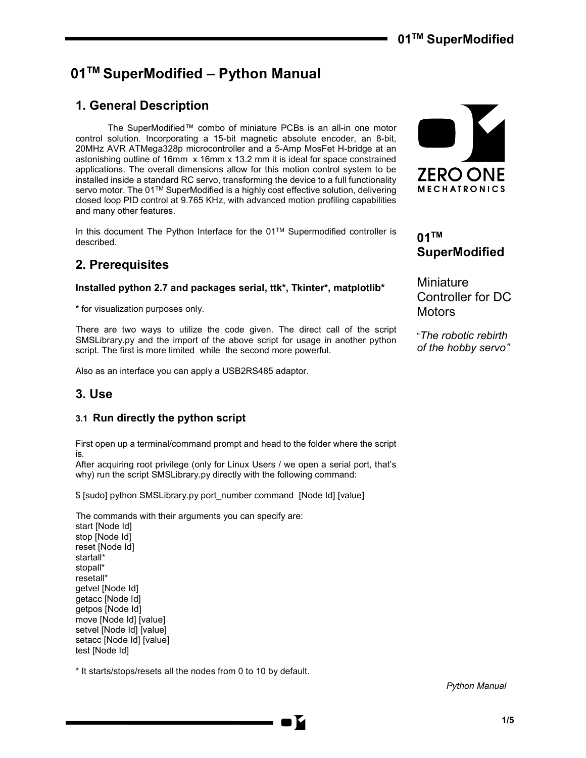# 01™ SuperModified – Python Manual

# 1. General Description

 The SuperModified™ combo of miniature PCBs is an all-in one motor control solution. Incorporating a 15-bit magnetic absolute encoder, an 8-bit, 20MHz AVR ATMega328p microcontroller and a 5-Amp MosFet H-bridge at an astonishing outline of 16mm x 16mm x 13.2 mm it is ideal for space constrained applications. The overall dimensions allow for this motion control system to be installed inside a standard RC servo, transforming the device to a full functionality servo motor. The 01™ SuperModified is a highly cost effective solution, delivering closed loop PID control at 9.765 KHz, with advanced motion profiling capabilities and many other features.

In this document The Python Interface for the 01TM Supermodified controller is described.

## 2. Prerequisites

Installed python 2.7 and packages serial, ttk\*, Tkinter\*, matplotlib\*

\* for visualization purposes only.

There are two ways to utilize the code given. The direct call of the script SMSLibrary.py and the import of the above script for usage in another python script. The first is more limited while the second more powerful.

Also as an interface you can apply a USB2RS485 adaptor.

## 3. Use

### 3.1 Run directly the python script

First open up a terminal/command prompt and head to the folder where the script is.

After acquiring root privilege (only for Linux Users / we open a serial port, that's why) run the script SMSLibrary.py directly with the following command:

\$ [sudo] python SMSLibrary.py port\_number command [Node Id] [value]

The commands with their arguments you can specify are: start [Node Id]

stop [Node Id] reset [Node Id] startall\* stopall\* resetall\* getvel [Node Id] getacc [Node Id] getpos [Node Id] move [Node Id] [value] setvel [Node Id] [value] setacc [Node Id] [value] test [Node Id]

\* It starts/stops/resets all the nodes from 0 to 10 by default.



# $01$ <sup>TM</sup> SuperModified

Miniature Controller for DC **Motors** 

"The robotic rebirth of the hobby servo"

Python Manual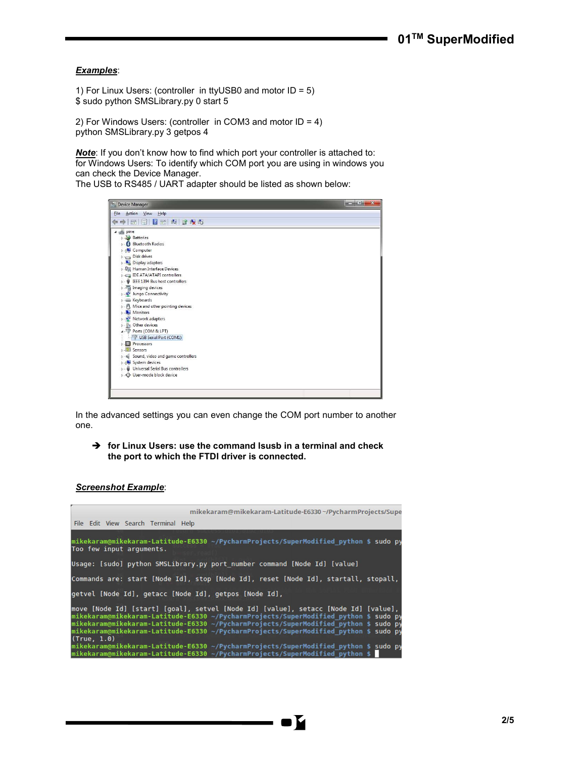### Examples:

1) For Linux Users: (controller in ttyUSB0 and motor ID = 5) \$ sudo python SMSLibrary.py 0 start 5

2) For Windows Users: (controller in COM3 and motor ID = 4) python SMSLibrary.py 3 getpos 4

Note: If you don't know how to find which port your controller is attached to: for Windows Users: To identify which COM port you are using in windows you can check the Device Manager.

The USB to RS485 / UART adapter should be listed as shown below:



In the advanced settings you can even change the COM port number to another one.

 $\rightarrow$  for Linux Users: use the command lsusb in a terminal and check the port to which the FTDI driver is connected.

### Screenshot Example:

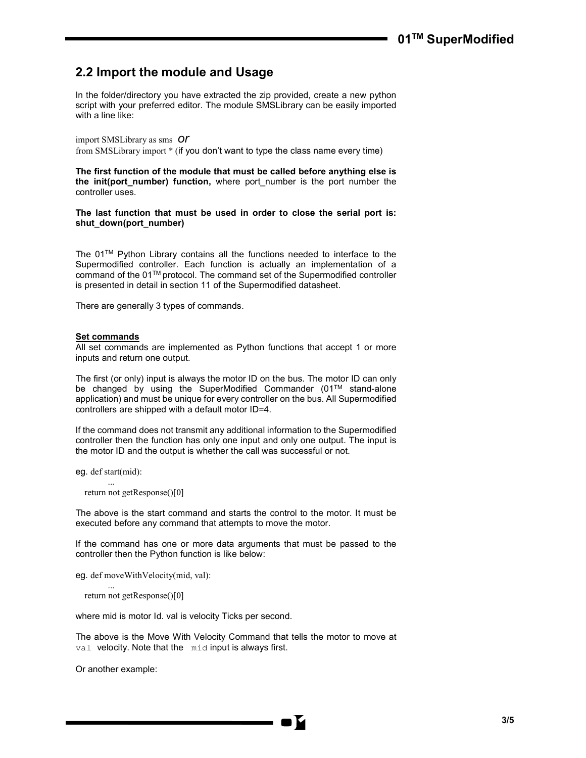## 2.2 Import the module and Usage

In the folder/directory you have extracted the zip provided, create a new python script with your preferred editor. The module SMSLibrary can be easily imported with a line like:

import SMSLibrary as sms Or from SMSLibrary import \* (if you don't want to type the class name every time)

The first function of the module that must be called before anything else is the init(port\_number) function, where port number is the port number the controller uses.

The last function that must be used in order to close the serial port is: shut\_down(port\_number)

The 01TM Python Library contains all the functions needed to interface to the Supermodified controller. Each function is actually an implementation of a command of the 01TM protocol. The command set of the Supermodified controller is presented in detail in section 11 of the Supermodified datasheet.

There are generally 3 types of commands.

#### Set commands

All set commands are implemented as Python functions that accept 1 or more inputs and return one output.

The first (or only) input is always the motor ID on the bus. The motor ID can only be changed by using the SuperModified Commander (01TM stand-alone application) and must be unique for every controller on the bus. All Supermodified controllers are shipped with a default motor ID=4.

If the command does not transmit any additional information to the Supermodified controller then the function has only one input and only one output. The input is the motor ID and the output is whether the call was successful or not.

eg. def start(mid):

...

...

return not getResponse()[0]

The above is the start command and starts the control to the motor. It must be executed before any command that attempts to move the motor.

If the command has one or more data arguments that must be passed to the controller then the Python function is like below:

eg. def moveWithVelocity(mid, val):

return not getResponse()[0]

where mid is motor Id. val is velocity Ticks per second.

The above is the Move With Velocity Command that tells the motor to move at val velocity. Note that the mid input is always first.

Or another example: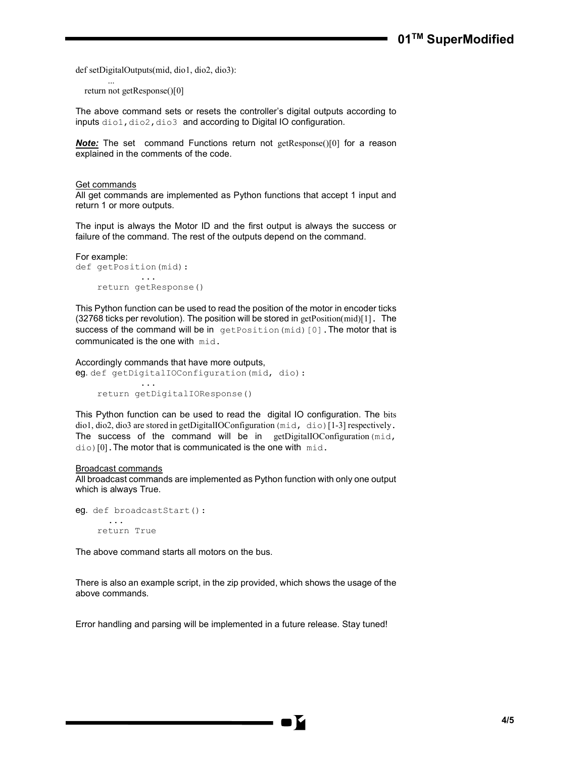def setDigitalOutputs(mid, dio1, dio2, dio3):

 ... return not getResponse()[0]

The above command sets or resets the controller's digital outputs according to inputs dio1, dio2, dio3 and according to Digital IO configuration.

**Note:** The set command Functions return not getResponse()[0] for a reason explained in the comments of the code.

#### Get commands

All get commands are implemented as Python functions that accept 1 input and return 1 or more outputs.

The input is always the Motor ID and the first output is always the success or failure of the command. The rest of the outputs depend on the command.

```
For example: 
def getPosition(mid): 
               ...
      return getResponse()
```
This Python function can be used to read the position of the motor in encoder ticks (32768 ticks per revolution). The position will be stored in getPosition(mid)[1]. The success of the command will be in getPosition(mid)[0]. The motor that is communicated is the one with mid.

## Accordingly commands that have more outputs,

```
eg. def getDigitalIOConfiguration(mid, dio):
 ...
```

```
 return getDigitalIOResponse()
```
This Python function can be used to read the digital IO configuration. The bits dio1, dio2, dio3 are stored in getDigitalIOConfiguration (mid, dio)[1-3] respectively. The success of the command will be in getDigitalIOConfiguration(mid,  $di$ o)[0]. The motor that is communicated is the one with  $mid$ .

#### Broadcast commands

All broadcast commands are implemented as Python function with only one output which is always True.

```
eg. def broadcastStart():
        ...
     return True
```
The above command starts all motors on the bus.

There is also an example script, in the zip provided, which shows the usage of the above commands.

Error handling and parsing will be implemented in a future release. Stay tuned!